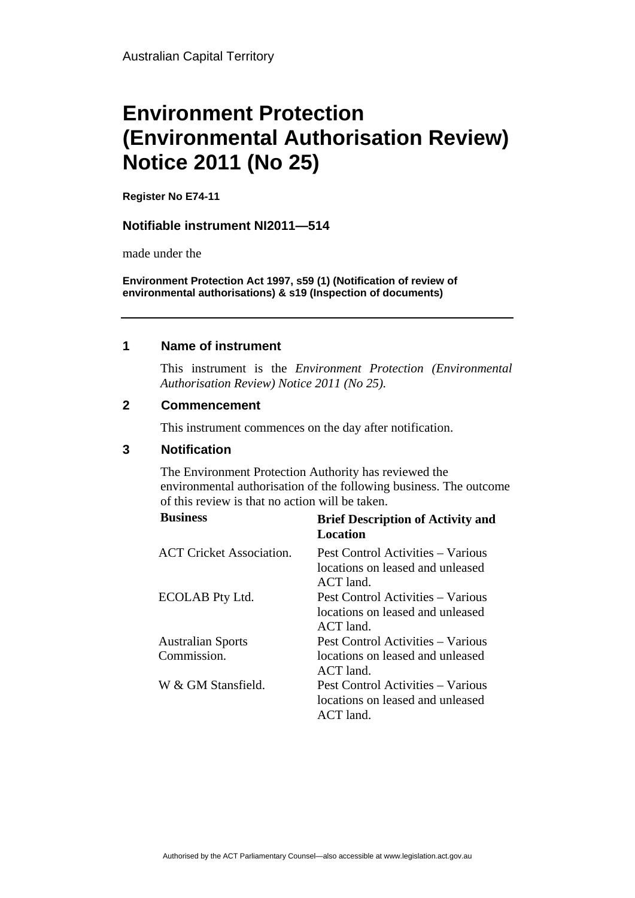# **Environment Protection (Environmental Authorisation Review) Notice 2011 (No 25)**

**Register No E74-11**

### **Notifiable instrument NI2011—514**

made under the

**Environment Protection Act 1997, s59 (1) (Notification of review of environmental authorisations) & s19 (Inspection of documents)**

### **1 Name of instrument**

This instrument is the *Environment Protection (Environmental Authorisation Review) Notice 2011 (No 25).* 

#### **2 Commencement**

This instrument commences on the day after notification.

## **3 Notification**

The Environment Protection Authority has reviewed the environmental authorisation of the following business. The outcome of this review is that no action will be taken.

| <b>Business</b>                 | <b>Brief Description of Activity and</b><br>Location                                 |
|---------------------------------|--------------------------------------------------------------------------------------|
| <b>ACT</b> Cricket Association. | Pest Control Activities – Various<br>locations on leased and unleased<br>$ACT$ land. |
| ECOLAB Pty Ltd.                 | Pest Control Activities – Various<br>locations on leased and unleased<br>$ACT$ land. |
| <b>Australian Sports</b>        | Pest Control Activities – Various                                                    |
| Commission.                     | locations on leased and unleased<br>$ACT$ land.                                      |
| W & GM Stansfield.              | Pest Control Activities – Various<br>locations on leased and unleased<br>$ACT$ land. |